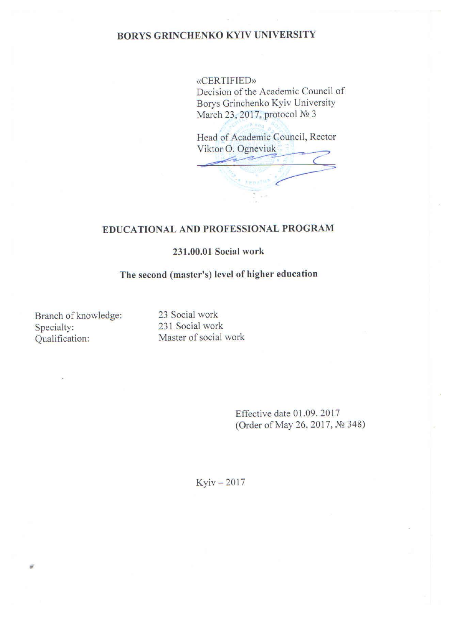### **BORYS GRINCHENKO KYIV UNIVERSITY**

**«CERTIFIED»** Decision of the Academic Council of Borys Grinchenko Kyiv University March 23, 2017, protocol № 3

Head of Academic Council, Rector Viktor O. Ogneviuk

## EDUCATIONAL AND PROFESSIONAL PROGRAM

#### 231.00.01 Social work

#### The second (master's) level of higher education

Branch of knowledge: Specialty: Qualification:

23 Social work 231 Social work Master of social work

> Effective date 01.09.2017 (Order of May 26, 2017, № 348)

 $Kyiv - 2017$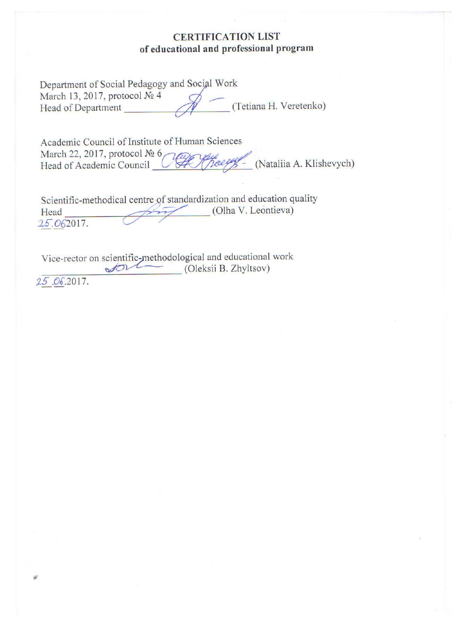### **CERTIFICATION LIST** of educational and professional program

| Department of Social Pedagogy and Social Work |                        |
|-----------------------------------------------|------------------------|
| March 13, 2017, protocol № 4                  |                        |
| Head of Department                            | (Tetiana H. Veretenko) |

Academic Council of Institute of Human Sciences March 22, 2017, protocol № 6 Koeeff - (Nataliia A. Klishevych) Head of Academic Council (

Scientific-methodical centre of standardization and education quality (Olha V. Leontieva) Head 25.062017.

Vice-rector on scientific-methodological and educational work<br>(Oleksii B. Zhvltsov)

25.06.2017.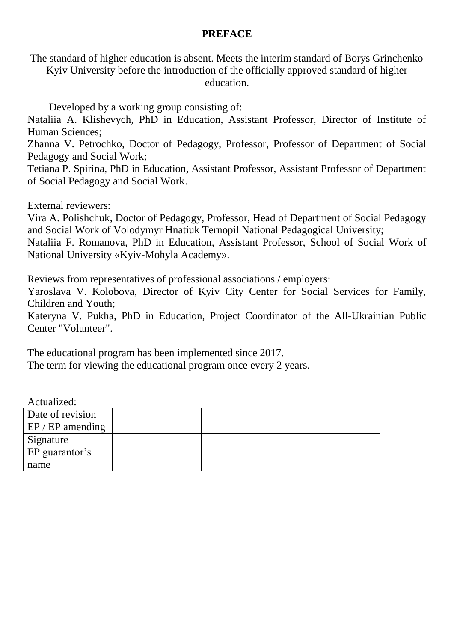### **PREFACE**

The standard of higher education is absent. Meets the interim standard of Borys Grinchenko

Kyiv University before the introduction of the officially approved standard of higher education.

Developed by a working group consisting of:

Nataliia A. Klishevych, PhD in Education, Assistant Professor, Director of Institute of Human Sciences;

Zhanna V. Petrochko, Doctor of Pedagogy, Professor, Professor of Department of Social Pedagogy and Social Work;

Tetiana P. Spirina, PhD in Education, Assistant Professor, Assistant Professor of Department of Social Pedagogy and Social Work.

External reviewers:

Vira A. Polishchuk, Doctor of Pedagogy, Professor, Head of Department of Social Pedagogy and Social Work of Volodymyr Hnatiuk Ternopil National Pedagogical University;

Nataliia F. Romanova, PhD in Education, Assistant Professor, School of Social Work of National University «Kyiv-Mohyla Academy».

Reviews from representatives of professional associations / employers:

Yaroslava V. Kolobova, Director of Kyiv City Center for Social Services for Family, Children and Youth;

Kateryna V. Pukha, PhD in Education, Project Coordinator of the All-Ukrainian Public Center "Volunteer".

The educational program has been implemented since 2017.

The term for viewing the educational program once every 2 years.

Actualized:

| Date of revision   |  |  |
|--------------------|--|--|
| $EP / EP$ amending |  |  |
| Signature          |  |  |
| EP guarantor's     |  |  |
| name               |  |  |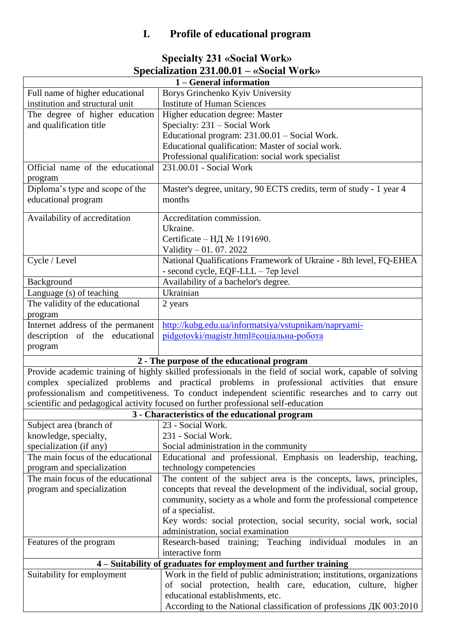# **I. Profile of educational program**

| <b>Specialty 231 «Social Work»</b>         |
|--------------------------------------------|
| Specialization $231.00.01 -$ «Social Work» |

| 1 – General information           |                                                                                                           |  |  |  |  |  |  |
|-----------------------------------|-----------------------------------------------------------------------------------------------------------|--|--|--|--|--|--|
| Full name of higher educational   | Borys Grinchenko Kyiv University                                                                          |  |  |  |  |  |  |
| institution and structural unit   | <b>Institute of Human Sciences</b>                                                                        |  |  |  |  |  |  |
| The degree of higher education    | Higher education degree: Master                                                                           |  |  |  |  |  |  |
| and qualification title           | Specialty: 231 – Social Work                                                                              |  |  |  |  |  |  |
|                                   | Educational program: 231.00.01 - Social Work.                                                             |  |  |  |  |  |  |
|                                   | Educational qualification: Master of social work.                                                         |  |  |  |  |  |  |
|                                   | Professional qualification: social work specialist                                                        |  |  |  |  |  |  |
| Official name of the educational  | 231.00.01 - Social Work                                                                                   |  |  |  |  |  |  |
| program                           |                                                                                                           |  |  |  |  |  |  |
| Diploma's type and scope of the   | Master's degree, unitary, 90 ECTS credits, term of study - 1 year 4                                       |  |  |  |  |  |  |
| educational program               | months                                                                                                    |  |  |  |  |  |  |
|                                   |                                                                                                           |  |  |  |  |  |  |
| Availability of accreditation     | Accreditation commission.                                                                                 |  |  |  |  |  |  |
|                                   | Ukraine.                                                                                                  |  |  |  |  |  |  |
|                                   | Certificate – H $\overline{A}$ No 1191690.                                                                |  |  |  |  |  |  |
|                                   | Validity - 01. 07. 2022                                                                                   |  |  |  |  |  |  |
| Cycle / Level                     | National Qualifications Framework of Ukraine - 8th level, FQ-EHEA                                         |  |  |  |  |  |  |
|                                   | - second cycle, EQF-LLL - 7ep level                                                                       |  |  |  |  |  |  |
| Background                        | Availability of a bachelor's degree.                                                                      |  |  |  |  |  |  |
| Language (s) of teaching          | Ukrainian                                                                                                 |  |  |  |  |  |  |
| The validity of the educational   | 2 years                                                                                                   |  |  |  |  |  |  |
| program                           |                                                                                                           |  |  |  |  |  |  |
| Internet address of the permanent | http://kubg.edu.ua/informatsiya/vstupnikam/napryami-                                                      |  |  |  |  |  |  |
| description of the educational    | pidgotovki/magistr.html#соціальна-робота                                                                  |  |  |  |  |  |  |
| program                           |                                                                                                           |  |  |  |  |  |  |
|                                   |                                                                                                           |  |  |  |  |  |  |
|                                   | 2 - The purpose of the educational program                                                                |  |  |  |  |  |  |
|                                   | Provide academic training of highly skilled professionals in the field of social work, capable of solving |  |  |  |  |  |  |
|                                   | complex specialized problems and practical problems in professional activities that ensure                |  |  |  |  |  |  |
|                                   | professionalism and competitiveness. To conduct independent scientific researches and to carry out        |  |  |  |  |  |  |
|                                   | scientific and pedagogical activity focused on further professional self-education                        |  |  |  |  |  |  |
|                                   | 3 - Characteristics of the educational program                                                            |  |  |  |  |  |  |
| Subject area (branch of           | 23 - Social Work.                                                                                         |  |  |  |  |  |  |
| knowledge, specialty,             | 231 - Social Work.                                                                                        |  |  |  |  |  |  |
| specialization (if any)           | Social administration in the community                                                                    |  |  |  |  |  |  |
| The main focus of the educational | Educational and professional. Emphasis on leadership, teaching,                                           |  |  |  |  |  |  |
| program and specialization        | technology competencies                                                                                   |  |  |  |  |  |  |
| The main focus of the educational | The content of the subject area is the concepts, laws, principles,                                        |  |  |  |  |  |  |
| program and specialization        | concepts that reveal the development of the individual, social group,                                     |  |  |  |  |  |  |
|                                   | community, society as a whole and form the professional competence                                        |  |  |  |  |  |  |
|                                   | of a specialist.                                                                                          |  |  |  |  |  |  |
|                                   | Key words: social protection, social security, social work, social                                        |  |  |  |  |  |  |
|                                   | administration, social examination                                                                        |  |  |  |  |  |  |
| Features of the program           | Research-based training; Teaching individual modules in an                                                |  |  |  |  |  |  |
|                                   | interactive form                                                                                          |  |  |  |  |  |  |
|                                   | 4 – Suitability of graduates for employment and further training                                          |  |  |  |  |  |  |
| Suitability for employment        | Work in the field of public administration; institutions, organizations                                   |  |  |  |  |  |  |
|                                   | of social protection, health care, education, culture, higher                                             |  |  |  |  |  |  |
|                                   | educational establishments, etc.                                                                          |  |  |  |  |  |  |
|                                   | According to the National classification of professions ДК 003:2010                                       |  |  |  |  |  |  |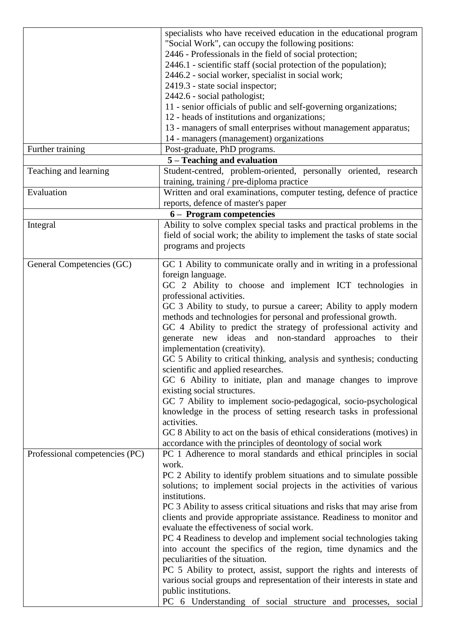|                                | specialists who have received education in the educational program                |
|--------------------------------|-----------------------------------------------------------------------------------|
|                                | "Social Work", can occupy the following positions:                                |
|                                | 2446 - Professionals in the field of social protection;                           |
|                                | 2446.1 - scientific staff (social protection of the population);                  |
|                                | 2446.2 - social worker, specialist in social work;                                |
|                                | 2419.3 - state social inspector;                                                  |
|                                | 2442.6 - social pathologist;                                                      |
|                                | 11 - senior officials of public and self-governing organizations;                 |
|                                | 12 - heads of institutions and organizations;                                     |
|                                | 13 - managers of small enterprises without management apparatus;                  |
|                                | 14 - managers (management) organizations                                          |
|                                | Post-graduate, PhD programs.                                                      |
| Further training               |                                                                                   |
|                                | 5 – Teaching and evaluation                                                       |
| Teaching and learning          | Student-centred, problem-oriented, personally oriented, research                  |
|                                | training, training / pre-diploma practice                                         |
| Evaluation                     | Written and oral examinations, computer testing, defence of practice              |
|                                | reports, defence of master's paper                                                |
|                                | 6 – Program competencies                                                          |
| Integral                       | Ability to solve complex special tasks and practical problems in the              |
|                                | field of social work; the ability to implement the tasks of state social          |
|                                | programs and projects                                                             |
|                                |                                                                                   |
| General Competencies (GC)      | GC 1 Ability to communicate orally and in writing in a professional               |
|                                | foreign language.                                                                 |
|                                | GC 2 Ability to choose and implement ICT technologies in                          |
|                                | professional activities.                                                          |
|                                | GC 3 Ability to study, to pursue a career; Ability to apply modern                |
|                                | methods and technologies for personal and professional growth.                    |
|                                | GC 4 Ability to predict the strategy of professional activity and                 |
|                                | generate new ideas and non-standard approaches to<br>their                        |
|                                | implementation (creativity).                                                      |
|                                | GC 5 Ability to critical thinking, analysis and synthesis; conducting             |
|                                | scientific and applied researches.                                                |
|                                | GC 6 Ability to initiate, plan and manage changes to improve                      |
|                                | existing social structures.                                                       |
|                                | GC 7 Ability to implement socio-pedagogical, socio-psychological                  |
|                                |                                                                                   |
|                                | knowledge in the process of setting research tasks in professional<br>activities. |
|                                |                                                                                   |
|                                | GC 8 Ability to act on the basis of ethical considerations (motives) in           |
|                                | accordance with the principles of deontology of social work                       |
| Professional competencies (PC) | PC 1 Adherence to moral standards and ethical principles in social                |
|                                | work.                                                                             |
|                                | PC 2 Ability to identify problem situations and to simulate possible              |
|                                | solutions; to implement social projects in the activities of various              |
|                                | institutions.                                                                     |
|                                | PC 3 Ability to assess critical situations and risks that may arise from          |
|                                | clients and provide appropriate assistance. Readiness to monitor and              |
|                                | evaluate the effectiveness of social work.                                        |
|                                | PC 4 Readiness to develop and implement social technologies taking                |
|                                | into account the specifics of the region, time dynamics and the                   |
|                                | peculiarities of the situation.                                                   |
|                                | PC 5 Ability to protect, assist, support the rights and interests of              |
|                                | various social groups and representation of their interests in state and          |
|                                | public institutions.                                                              |
|                                | PC 6 Understanding of social structure and processes, social                      |
|                                |                                                                                   |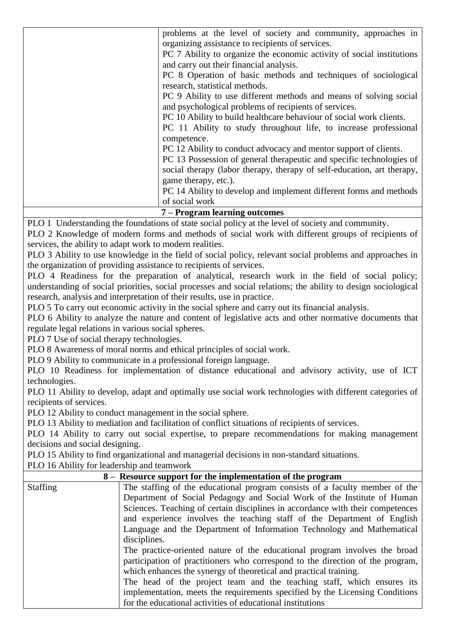| problems at the level of society and community, approaches in          |
|------------------------------------------------------------------------|
| organizing assistance to recipients of services.                       |
| PC 7 Ability to organize the economic activity of social institutions  |
| and carry out their financial analysis.                                |
| PC 8 Operation of basic methods and techniques of sociological         |
| research, statistical methods.                                         |
| PC 9 Ability to use different methods and means of solving social      |
| and psychological problems of recipients of services.                  |
| PC 10 Ability to build healthcare behaviour of social work clients.    |
| PC 11 Ability to study throughout life, to increase professional       |
| competence.                                                            |
| PC 12 Ability to conduct advocacy and mentor support of clients.       |
| PC 13 Possession of general therapeutic and specific technologies of   |
| social therapy (labor therapy, therapy of self-education, art therapy, |
| game therapy, etc.).                                                   |
| PC 14 Ability to develop and implement different forms and methods     |
| of social work                                                         |

#### **7 – Program learning outcomes**

PLO 1 Understanding the foundations of state social policy at the level of society and community.

PLO 2 Knowledge of modern forms and methods of social work with different groups of recipients of services, the ability to adapt work to modern realities.

PLO 3 Ability to use knowledge in the field of social policy, relevant social problems and approaches in the organization of providing assistance to recipients of services.

PLO 4 Readiness for the preparation of analytical, research work in the field of social policy; understanding of social priorities, social processes and social relations; the ability to design sociological research, analysis and interpretation of their results, use in practice.

PLO 5 To carry out economic activity in the social sphere and carry out its financial analysis.

PLO 6 Ability to analyze the nature and content of legislative acts and other normative documents that regulate legal relations in various social spheres.

PLO 7 Use of social therapy technologies.

PLO 8 Awareness of moral norms and ethical principles of social work.

PLO 9 Ability to communicate in a professional foreign language.

PLO 10 Readiness for implementation of distance educational and advisory activity, use of ICT technologies.

PLO 11 Ability to develop, adapt and optimally use social work technologies with different categories of recipients of services.

PLO 12 Ability to conduct management in the social sphere.

PLO 13 Ability to mediation and facilitation of conflict situations of recipients of services.

PLO 14 Ability to carry out social expertise, to prepare recommendations for making management decisions and social designing.

PLO 15 Ability to find organizational and managerial decisions in non-standard situations.

PLO 16 Ability for leadership and teamwork

|                 | 8 – Resource support for the implementation of the program                     |
|-----------------|--------------------------------------------------------------------------------|
| <b>Staffing</b> | The staffing of the educational program consists of a faculty member of the    |
|                 | Department of Social Pedagogy and Social Work of the Institute of Human        |
|                 | Sciences. Teaching of certain disciplines in accordance with their competences |
|                 | and experience involves the teaching staff of the Department of English        |
|                 | Language and the Department of Information Technology and Mathematical         |
|                 | disciplines.                                                                   |
|                 | The practice-oriented nature of the educational program involves the broad     |
|                 | participation of practitioners who correspond to the direction of the program, |
|                 | which enhances the synergy of theoretical and practical training.              |
|                 | The head of the project team and the teaching staff, which ensures its         |
|                 | implementation, meets the requirements specified by the Licensing Conditions   |
|                 | for the educational activities of educational institutions                     |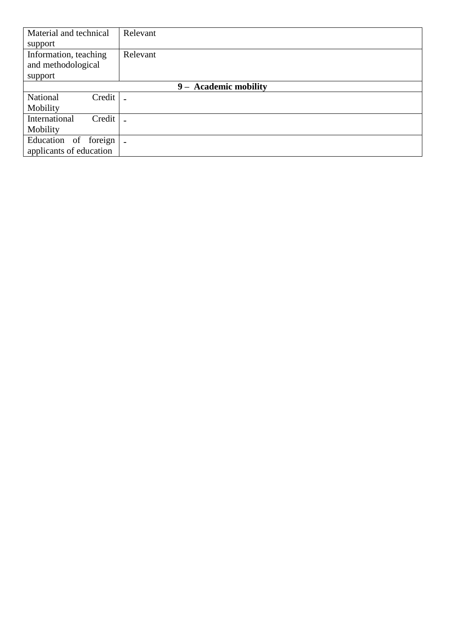| Material and technical    | Relevant                 |
|---------------------------|--------------------------|
| support                   |                          |
| Information, teaching     | Relevant                 |
| and methodological        |                          |
| support                   |                          |
|                           | 9 - Academic mobility    |
| National<br>Credit        |                          |
| Mobility                  |                          |
| Credit  <br>International |                          |
| Mobility                  |                          |
| Education of foreign      | $\overline{\phantom{0}}$ |
| applicants of education   |                          |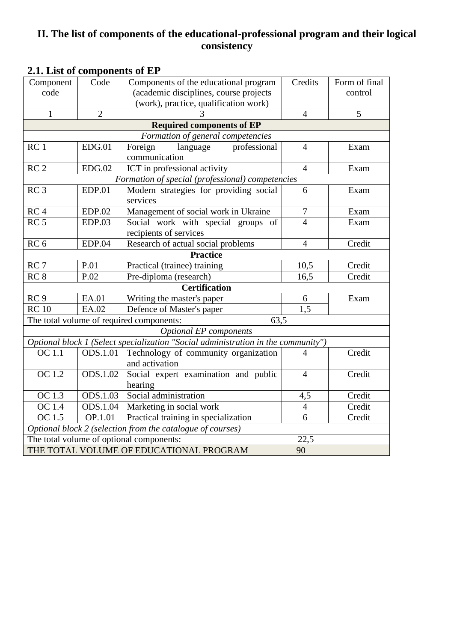## **II. The list of components of the educational-professional program and their logical consistency**

| Component                        | Code            | Components of the educational program                                             | Credits          | Form of final |  |  |  |  |  |  |  |
|----------------------------------|-----------------|-----------------------------------------------------------------------------------|------------------|---------------|--|--|--|--|--|--|--|
| code                             |                 | (academic disciplines, course projects                                            |                  | control       |  |  |  |  |  |  |  |
|                                  |                 | (work), practice, qualification work)                                             |                  |               |  |  |  |  |  |  |  |
| 1                                | $\overline{2}$  |                                                                                   | $\overline{4}$   | 5             |  |  |  |  |  |  |  |
| <b>Required components of EP</b> |                 |                                                                                   |                  |               |  |  |  |  |  |  |  |
|                                  |                 | Formation of general competencies                                                 |                  |               |  |  |  |  |  |  |  |
| RC <sub>1</sub>                  | EDG.01          | professional<br>Foreign<br>language<br>communication                              | $\overline{4}$   | Exam          |  |  |  |  |  |  |  |
| RC <sub>2</sub>                  | EDG.02          | ICT in professional activity                                                      | $\overline{4}$   | Exam          |  |  |  |  |  |  |  |
|                                  |                 | Formation of special (professional) competencies                                  |                  |               |  |  |  |  |  |  |  |
| RC <sub>3</sub>                  | <b>EDP.01</b>   | Modern strategies for providing social                                            | 6                | Exam          |  |  |  |  |  |  |  |
|                                  |                 | services                                                                          |                  |               |  |  |  |  |  |  |  |
| RC <sub>4</sub>                  | EDP.02          | Management of social work in Ukraine                                              | $\boldsymbol{7}$ | Exam          |  |  |  |  |  |  |  |
| RC <sub>5</sub>                  | <b>EDP.03</b>   | Social work with special groups of                                                | $\overline{4}$   | Exam          |  |  |  |  |  |  |  |
|                                  |                 | recipients of services                                                            |                  |               |  |  |  |  |  |  |  |
| RC <sub>6</sub>                  | <b>EDP.04</b>   | Research of actual social problems                                                | $\overline{4}$   | Credit        |  |  |  |  |  |  |  |
|                                  | <b>Practice</b> |                                                                                   |                  |               |  |  |  |  |  |  |  |
| RC <sub>7</sub>                  | P.01<br>P.02    | Practical (trainee) training<br>Pre-diploma (research)                            | 10,5             | Credit        |  |  |  |  |  |  |  |
| RC <sub>8</sub>                  | 16,5            | Credit                                                                            |                  |               |  |  |  |  |  |  |  |
|                                  |                 | <b>Certification</b>                                                              |                  |               |  |  |  |  |  |  |  |
| RC <sub>9</sub>                  | EA.01           | Writing the master's paper                                                        | 6                | Exam          |  |  |  |  |  |  |  |
| RC10                             | EA.02           | Defence of Master's paper                                                         | $\overline{1.5}$ |               |  |  |  |  |  |  |  |
|                                  |                 | The total volume of required components:<br>63,5                                  |                  |               |  |  |  |  |  |  |  |
|                                  |                 | <b>Optional EP</b> components                                                     |                  |               |  |  |  |  |  |  |  |
|                                  |                 | Optional block 1 (Select specialization "Social administration in the community") |                  |               |  |  |  |  |  |  |  |
| $\overline{OC}$ 1.1              | ODS.1.01        | Technology of community organization                                              | 4                | Credit        |  |  |  |  |  |  |  |
|                                  |                 | and activation                                                                    |                  |               |  |  |  |  |  |  |  |
| OC 1.2                           | ODS.1.02        | Social expert examination and public                                              | $\overline{4}$   | Credit        |  |  |  |  |  |  |  |
|                                  |                 | hearing                                                                           |                  |               |  |  |  |  |  |  |  |
| OC 1.3                           | ODS.1.03        | Social administration                                                             | 4,5              | Credit        |  |  |  |  |  |  |  |
| OC 1.4                           | ODS.1.04        | Marketing in social work                                                          | $\overline{4}$   | Credit        |  |  |  |  |  |  |  |
| OC 1.5                           | OP.1.01         | Practical training in specialization                                              | $\overline{6}$   | Credit        |  |  |  |  |  |  |  |
|                                  |                 | Optional block 2 (selection from the catalogue of courses)                        |                  |               |  |  |  |  |  |  |  |
|                                  |                 | The total volume of optional components:                                          | 22,5             |               |  |  |  |  |  |  |  |
|                                  |                 | THE TOTAL VOLUME OF EDUCATIONAL PROGRAM                                           | 90               |               |  |  |  |  |  |  |  |

## **2.1. List of components of EP**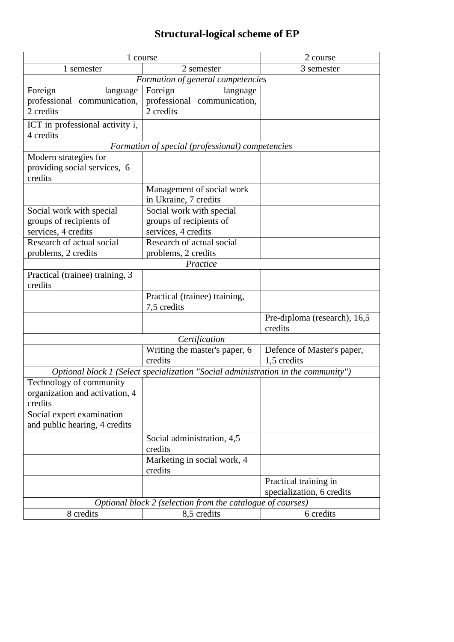# **Structural-logical scheme of EP**

|                                                           | 1 course                                                                          | 2 course                                  |  |  |  |
|-----------------------------------------------------------|-----------------------------------------------------------------------------------|-------------------------------------------|--|--|--|
| 1 semester                                                | 2 semester                                                                        | 3 semester                                |  |  |  |
|                                                           | Formation of general competencies                                                 |                                           |  |  |  |
| Foreign<br>language                                       | Foreign<br>language                                                               |                                           |  |  |  |
| professional communication,                               | professional communication,                                                       |                                           |  |  |  |
| 2 credits                                                 | 2 credits                                                                         |                                           |  |  |  |
| ICT in professional activity i,                           |                                                                                   |                                           |  |  |  |
| 4 credits                                                 |                                                                                   |                                           |  |  |  |
|                                                           | Formation of special (professional) competencies                                  |                                           |  |  |  |
| Modern strategies for                                     |                                                                                   |                                           |  |  |  |
| providing social services, 6                              |                                                                                   |                                           |  |  |  |
| credits                                                   |                                                                                   |                                           |  |  |  |
|                                                           | Management of social work                                                         |                                           |  |  |  |
|                                                           | in Ukraine, 7 credits                                                             |                                           |  |  |  |
| Social work with special                                  | Social work with special                                                          |                                           |  |  |  |
| groups of recipients of                                   | groups of recipients of                                                           |                                           |  |  |  |
| services, 4 credits                                       | services, 4 credits                                                               |                                           |  |  |  |
| Research of actual social                                 | Research of actual social                                                         |                                           |  |  |  |
| problems, 2 credits                                       | problems, 2 credits                                                               |                                           |  |  |  |
|                                                           | Practice                                                                          |                                           |  |  |  |
| Practical (trainee) training, 3                           |                                                                                   |                                           |  |  |  |
| credits                                                   |                                                                                   |                                           |  |  |  |
|                                                           | Practical (trainee) training,                                                     |                                           |  |  |  |
|                                                           | 7,5 credits                                                                       |                                           |  |  |  |
|                                                           |                                                                                   | Pre-diploma (research), 16,5<br>credits   |  |  |  |
|                                                           |                                                                                   |                                           |  |  |  |
|                                                           | Certification                                                                     |                                           |  |  |  |
|                                                           | Writing the master's paper, 6<br>credits                                          | Defence of Master's paper,<br>1,5 credits |  |  |  |
|                                                           |                                                                                   |                                           |  |  |  |
|                                                           | Optional block 1 (Select specialization "Social administration in the community") |                                           |  |  |  |
| Technology of community<br>organization and activation, 4 |                                                                                   |                                           |  |  |  |
| credits                                                   |                                                                                   |                                           |  |  |  |
| Social expert examination                                 |                                                                                   |                                           |  |  |  |
| and public hearing, 4 credits                             |                                                                                   |                                           |  |  |  |
|                                                           | Social administration, 4,5                                                        |                                           |  |  |  |
|                                                           | credits                                                                           |                                           |  |  |  |
|                                                           | Marketing in social work, 4                                                       |                                           |  |  |  |
|                                                           | credits                                                                           |                                           |  |  |  |
|                                                           |                                                                                   | Practical training in                     |  |  |  |
|                                                           |                                                                                   | specialization, 6 credits                 |  |  |  |
|                                                           | Optional block 2 (selection from the catalogue of courses)                        |                                           |  |  |  |
| 8 credits                                                 | 8,5 credits                                                                       | 6 credits                                 |  |  |  |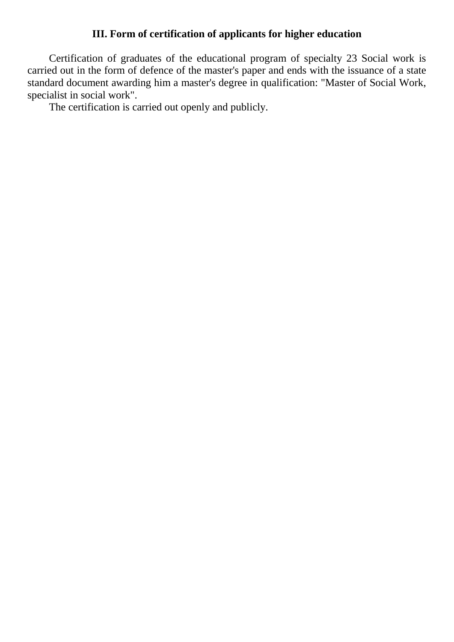## **III. Form of certification of applicants for higher education**

Certification of graduates of the educational program of specialty 23 Social work is carried out in the form of defence of the master's paper and ends with the issuance of a state standard document awarding him a master's degree in qualification: "Master of Social Work, specialist in social work".

The certification is carried out openly and publicly.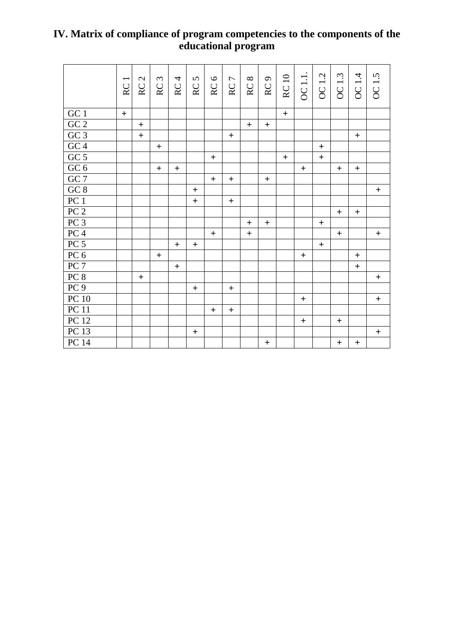## **IV. Matrix of compliance of program competencies to the components of the educational program**

|                    | RC1 | RC <sub>2</sub> | RC <sub>3</sub> | RC <sub>4</sub>                  | RC <sub>5</sub>                  | RC6               | RC <sub>7</sub> | RC <sub>8</sub>  | RC <sub>9</sub>                  | <b>RC10</b> | OC 1.1. | OC 1.2 | OC 1.3                           | OC 1.4                           | OC 1.5           |
|--------------------|-----|-----------------|-----------------|----------------------------------|----------------------------------|-------------------|-----------------|------------------|----------------------------------|-------------|---------|--------|----------------------------------|----------------------------------|------------------|
| $\rm GC$ $1$       | $+$ |                 |                 |                                  |                                  |                   |                 |                  |                                  | $+$         |         |        |                                  |                                  |                  |
| ${\rm GC}$ $2$     |     | $+$             |                 |                                  |                                  |                   |                 | $+$              | $+$                              |             |         |        |                                  |                                  |                  |
| GC3                |     | $\ddot{}$       |                 |                                  |                                  |                   | $\ddot{}$       |                  |                                  |             |         |        |                                  | $+$                              |                  |
| GC4                |     |                 | $\ddot{}$       |                                  |                                  |                   |                 |                  |                                  |             |         | $+$    |                                  |                                  |                  |
| GC <sub>5</sub>    |     |                 |                 |                                  |                                  | $\qquad \qquad +$ |                 |                  |                                  | $+$         |         | $+$    |                                  |                                  |                  |
| GC 6               |     |                 | $\ddot{}$       | $+$                              |                                  |                   |                 |                  |                                  |             | $+$     |        | $+$                              | $+$                              |                  |
| GC7                |     |                 |                 |                                  |                                  | $\boldsymbol{+}$  | $\ddot{}$       |                  | $\begin{array}{c} + \end{array}$ |             |         |        |                                  |                                  |                  |
| $\underline{GC 8}$ |     |                 |                 |                                  | $\begin{array}{c} + \end{array}$ |                   |                 |                  |                                  |             |         |        |                                  |                                  | $+$              |
| PC <sub>1</sub>    |     |                 |                 |                                  | $\ddot{}$                        |                   | $\ddot{}$       |                  |                                  |             |         |        |                                  |                                  |                  |
| PC <sub>2</sub>    |     |                 |                 |                                  |                                  |                   |                 |                  |                                  |             |         |        | $+$                              | $+$                              |                  |
| PC3                |     |                 |                 |                                  |                                  |                   |                 | $\boldsymbol{+}$ | $+$                              |             |         | $+$    |                                  |                                  |                  |
| PC <sub>4</sub>    |     |                 |                 |                                  |                                  | $\ddot{}$         |                 | $\ddot{+}$       |                                  |             |         |        | $+$                              |                                  | $\ddot{}$        |
| PC <sub>5</sub>    |     |                 |                 | $+$                              | $+$                              |                   |                 |                  |                                  |             |         | $+$    |                                  |                                  |                  |
| PC6                |     |                 | $+$             |                                  |                                  |                   |                 |                  |                                  |             | $+$     |        |                                  | $+$                              |                  |
| PC <sub>7</sub>    |     |                 |                 | $\begin{array}{c} + \end{array}$ |                                  |                   |                 |                  |                                  |             |         |        |                                  | $\ddot{+}$                       |                  |
| PC 8               |     | $+$             |                 |                                  |                                  |                   |                 |                  |                                  |             |         |        |                                  |                                  | $+$              |
| PC <sub>9</sub>    |     |                 |                 |                                  | $\ddot{+}$                       |                   | $\ddot{}$       |                  |                                  |             |         |        |                                  |                                  |                  |
| PC10               |     |                 |                 |                                  |                                  |                   |                 |                  |                                  |             | $+$     |        |                                  |                                  | $\boldsymbol{+}$ |
| PC11               |     |                 |                 |                                  |                                  | $\ddot{}$         | $\ddot{}$       |                  |                                  |             |         |        |                                  |                                  |                  |
| PC 12              |     |                 |                 |                                  |                                  |                   |                 |                  |                                  |             | $+$     |        | $+$                              |                                  |                  |
| PC13               |     |                 |                 |                                  | $\pm$                            |                   |                 |                  |                                  |             |         |        |                                  |                                  | $\ddot{}$        |
| PC 14              |     |                 |                 |                                  |                                  |                   |                 |                  | $\boldsymbol{+}$                 |             |         |        | $\begin{array}{c} + \end{array}$ | $\begin{array}{c} + \end{array}$ |                  |